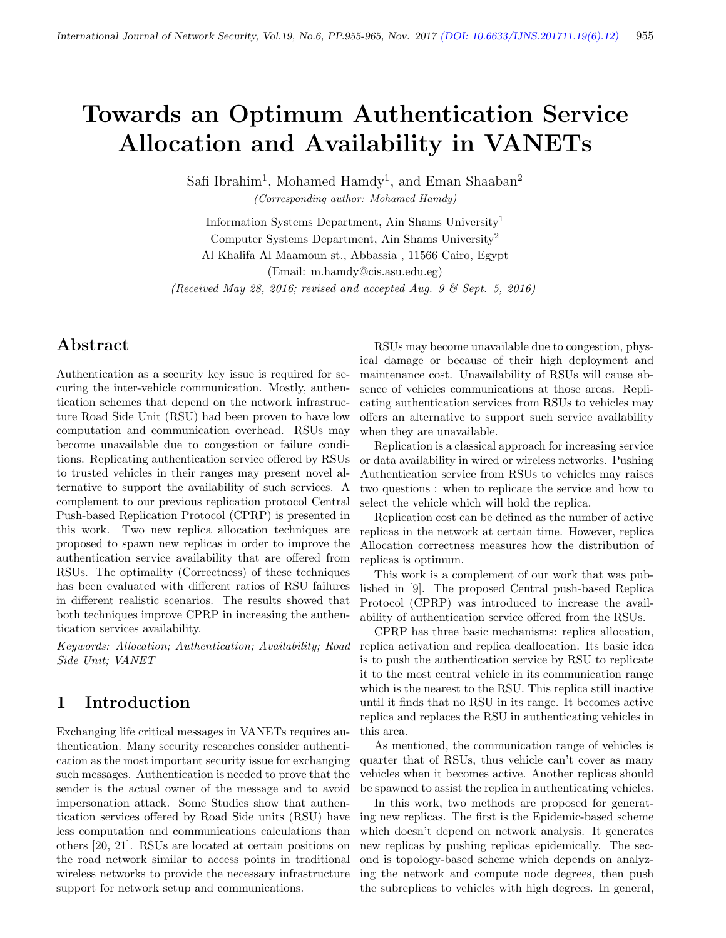# Towards an Optimum Authentication Service Allocation and Availability in VANETs

Safi Ibrahim<sup>1</sup>, Mohamed Hamdy<sup>1</sup>, and Eman Shaaban<sup>2</sup> (Corresponding author: Mohamed Hamdy)

Information Systems Department, Ain Shams University<sup>1</sup> Computer Systems Department, Ain Shams University<sup>2</sup> Al Khalifa Al Maamoun st., Abbassia , 11566 Cairo, Egypt (Email: m.hamdy@cis.asu.edu.eg) (Received May 28, 2016; revised and accepted Aug. 9  $\mathcal{B}$  Sept. 5, 2016)

# Abstract

Authentication as a security key issue is required for securing the inter-vehicle communication. Mostly, authentication schemes that depend on the network infrastructure Road Side Unit (RSU) had been proven to have low computation and communication overhead. RSUs may become unavailable due to congestion or failure conditions. Replicating authentication service offered by RSUs to trusted vehicles in their ranges may present novel alternative to support the availability of such services. A complement to our previous replication protocol Central Push-based Replication Protocol (CPRP) is presented in this work. Two new replica allocation techniques are proposed to spawn new replicas in order to improve the authentication service availability that are offered from RSUs. The optimality (Correctness) of these techniques has been evaluated with different ratios of RSU failures in different realistic scenarios. The results showed that both techniques improve CPRP in increasing the authentication services availability.

Keywords: Allocation; Authentication; Availability; Road Side Unit; VANET

## 1 Introduction

Exchanging life critical messages in VANETs requires authentication. Many security researches consider authentication as the most important security issue for exchanging such messages. Authentication is needed to prove that the sender is the actual owner of the message and to avoid impersonation attack. Some Studies show that authentication services offered by Road Side units (RSU) have less computation and communications calculations than others [20, 21]. RSUs are located at certain positions on the road network similar to access points in traditional wireless networks to provide the necessary infrastructure support for network setup and communications.

RSUs may become unavailable due to congestion, physical damage or because of their high deployment and maintenance cost. Unavailability of RSUs will cause absence of vehicles communications at those areas. Replicating authentication services from RSUs to vehicles may offers an alternative to support such service availability when they are unavailable.

Replication is a classical approach for increasing service or data availability in wired or wireless networks. Pushing Authentication service from RSUs to vehicles may raises two questions : when to replicate the service and how to select the vehicle which will hold the replica.

Replication cost can be defined as the number of active replicas in the network at certain time. However, replica Allocation correctness measures how the distribution of replicas is optimum.

This work is a complement of our work that was published in [9]. The proposed Central push-based Replica Protocol (CPRP) was introduced to increase the availability of authentication service offered from the RSUs.

CPRP has three basic mechanisms: replica allocation, replica activation and replica deallocation. Its basic idea is to push the authentication service by RSU to replicate it to the most central vehicle in its communication range which is the nearest to the RSU. This replica still inactive until it finds that no RSU in its range. It becomes active replica and replaces the RSU in authenticating vehicles in this area.

As mentioned, the communication range of vehicles is quarter that of RSUs, thus vehicle can't cover as many vehicles when it becomes active. Another replicas should be spawned to assist the replica in authenticating vehicles.

In this work, two methods are proposed for generating new replicas. The first is the Epidemic-based scheme which doesn't depend on network analysis. It generates new replicas by pushing replicas epidemically. The second is topology-based scheme which depends on analyzing the network and compute node degrees, then push the subreplicas to vehicles with high degrees. In general,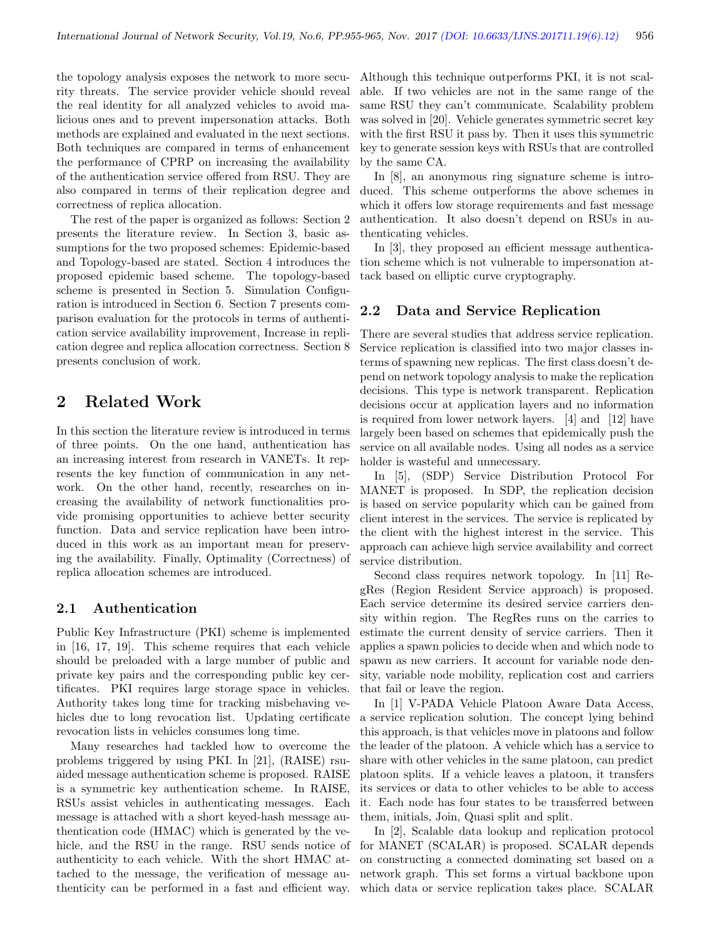the topology analysis exposes the network to more security threats. The service provider vehicle should reveal the real identity for all analyzed vehicles to avoid malicious ones and to prevent impersonation attacks. Both methods are explained and evaluated in the next sections. Both techniques are compared in terms of enhancement the performance of CPRP on increasing the availability of the authentication service offered from RSU. They are also compared in terms of their replication degree and correctness of replica allocation.

The rest of the paper is organized as follows: Section 2 presents the literature review. In Section 3, basic assumptions for the two proposed schemes: Epidemic-based and Topology-based are stated. Section 4 introduces the proposed epidemic based scheme. The topology-based scheme is presented in Section 5. Simulation Configuration is introduced in Section 6. Section 7 presents comparison evaluation for the protocols in terms of authentication service availability improvement, Increase in replication degree and replica allocation correctness. Section 8 presents conclusion of work.

## 2 Related Work

In this section the literature review is introduced in terms of three points. On the one hand, authentication has an increasing interest from research in VANETs. It represents the key function of communication in any network. On the other hand, recently, researches on increasing the availability of network functionalities provide promising opportunities to achieve better security function. Data and service replication have been introduced in this work as an important mean for preserving the availability. Finally, Optimality (Correctness) of replica allocation schemes are introduced.

#### 2.1 Authentication

Public Key Infrastructure (PKI) scheme is implemented in [16, 17, 19]. This scheme requires that each vehicle should be preloaded with a large number of public and private key pairs and the corresponding public key certificates. PKI requires large storage space in vehicles. Authority takes long time for tracking misbehaving vehicles due to long revocation list. Updating certificate revocation lists in vehicles consumes long time.

Many researches had tackled how to overcome the problems triggered by using PKI. In [21], (RAISE) rsuaided message authentication scheme is proposed. RAISE is a symmetric key authentication scheme. In RAISE, RSUs assist vehicles in authenticating messages. Each message is attached with a short keyed-hash message authentication code (HMAC) which is generated by the vehicle, and the RSU in the range. RSU sends notice of authenticity to each vehicle. With the short HMAC attached to the message, the verification of message authenticity can be performed in a fast and efficient way. Although this technique outperforms PKI, it is not scalable. If two vehicles are not in the same range of the same RSU they can't communicate. Scalability problem was solved in [20]. Vehicle generates symmetric secret key with the first RSU it pass by. Then it uses this symmetric key to generate session keys with RSUs that are controlled by the same CA.

In [8], an anonymous ring signature scheme is introduced. This scheme outperforms the above schemes in which it offers low storage requirements and fast message authentication. It also doesn't depend on RSUs in authenticating vehicles.

In [3], they proposed an efficient message authentication scheme which is not vulnerable to impersonation attack based on elliptic curve cryptography.

#### 2.2 Data and Service Replication

There are several studies that address service replication. Service replication is classified into two major classes interms of spawning new replicas. The first class doesn't depend on network topology analysis to make the replication decisions. This type is network transparent. Replication decisions occur at application layers and no information is required from lower network layers. [4] and [12] have largely been based on schemes that epidemically push the service on all available nodes. Using all nodes as a service holder is wasteful and unnecessary.

In [5], (SDP) Service Distribution Protocol For MANET is proposed. In SDP, the replication decision is based on service popularity which can be gained from client interest in the services. The service is replicated by the client with the highest interest in the service. This approach can achieve high service availability and correct service distribution.

Second class requires network topology. In [11] RegRes (Region Resident Service approach) is proposed. Each service determine its desired service carriers density within region. The RegRes runs on the carries to estimate the current density of service carriers. Then it applies a spawn policies to decide when and which node to spawn as new carriers. It account for variable node density, variable node mobility, replication cost and carriers that fail or leave the region.

In [1] V-PADA Vehicle Platoon Aware Data Access, a service replication solution. The concept lying behind this approach, is that vehicles move in platoons and follow the leader of the platoon. A vehicle which has a service to share with other vehicles in the same platoon, can predict platoon splits. If a vehicle leaves a platoon, it transfers its services or data to other vehicles to be able to access it. Each node has four states to be transferred between them, initials, Join, Quasi split and split.

In [2], Scalable data lookup and replication protocol for MANET (SCALAR) is proposed. SCALAR depends on constructing a connected dominating set based on a network graph. This set forms a virtual backbone upon which data or service replication takes place. SCALAR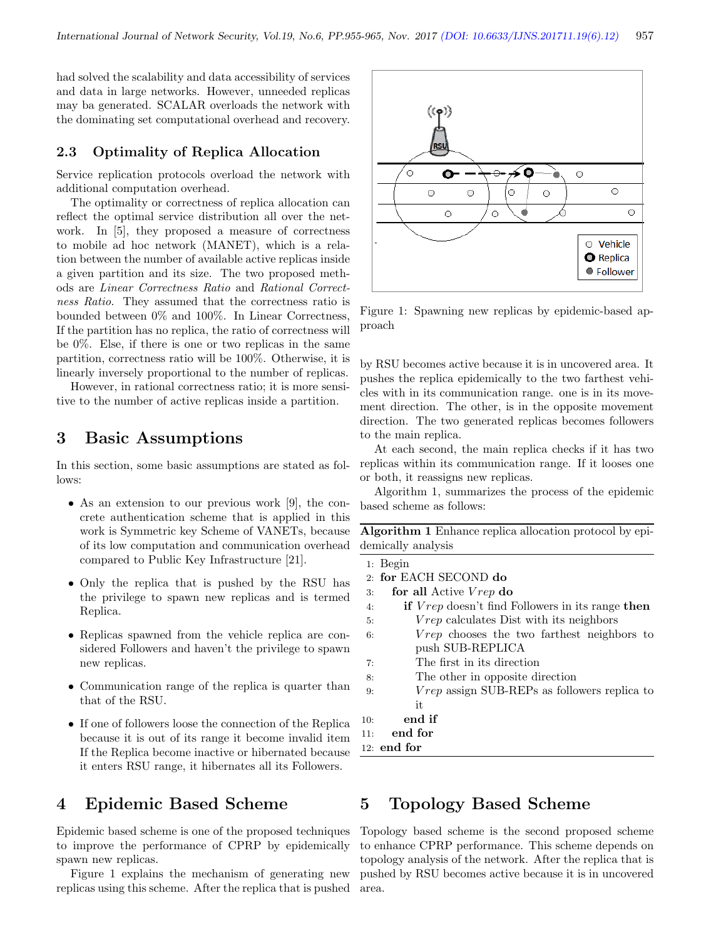had solved the scalability and data accessibility of services and data in large networks. However, unneeded replicas may ba generated. SCALAR overloads the network with the dominating set computational overhead and recovery.

#### 2.3 Optimality of Replica Allocation

Service replication protocols overload the network with additional computation overhead.

The optimality or correctness of replica allocation can reflect the optimal service distribution all over the network. In [5], they proposed a measure of correctness to mobile ad hoc network (MANET), which is a relation between the number of available active replicas inside a given partition and its size. The two proposed methods are Linear Correctness Ratio and Rational Correctness Ratio. They assumed that the correctness ratio is bounded between 0% and 100%. In Linear Correctness, If the partition has no replica, the ratio of correctness will be 0%. Else, if there is one or two replicas in the same partition, correctness ratio will be 100%. Otherwise, it is linearly inversely proportional to the number of replicas.

However, in rational correctness ratio; it is more sensitive to the number of active replicas inside a partition.

# 3 Basic Assumptions

In this section, some basic assumptions are stated as follows:

- As an extension to our previous work [9], the concrete authentication scheme that is applied in this work is Symmetric key Scheme of VANETs, because of its low computation and communication overhead compared to Public Key Infrastructure [21].
- Only the replica that is pushed by the RSU has the privilege to spawn new replicas and is termed Replica.
- Replicas spawned from the vehicle replica are considered Followers and haven't the privilege to spawn new replicas.
- Communication range of the replica is quarter than that of the RSU.
- If one of followers loose the connection of the Replica because it is out of its range it become invalid item If the Replica become inactive or hibernated because it enters RSU range, it hibernates all its Followers.

# 4 Epidemic Based Scheme

Epidemic based scheme is one of the proposed techniques to improve the performance of CPRP by epidemically spawn new replicas.

Figure 1 explains the mechanism of generating new replicas using this scheme. After the replica that is pushed



Figure 1: Spawning new replicas by epidemic-based approach

by RSU becomes active because it is in uncovered area. It pushes the replica epidemically to the two farthest vehicles with in its communication range. one is in its movement direction. The other, is in the opposite movement direction. The two generated replicas becomes followers to the main replica.

At each second, the main replica checks if it has two replicas within its communication range. If it looses one or both, it reassigns new replicas.

Algorithm 1, summarizes the process of the epidemic based scheme as follows:

Algorithm 1 Enhance replica allocation protocol by epidemically analysis

|     | $1:$ Begin                                                            |
|-----|-----------------------------------------------------------------------|
|     | 2: for EACH SECOND do                                                 |
| 3:  | for all Active Vrep do                                                |
| 4:  | <b>if</b> <i>Vrep</i> doesn't find Followers in its range <b>then</b> |
| 5:  | <i>Vrep</i> calculates Dist with its neighbors                        |
| 6:  | <i>Vrep</i> chooses the two farthest neighbors to                     |
|     | push SUB-REPLICA                                                      |
| 7:  | The first in its direction                                            |
| 8:  | The other in opposite direction                                       |
| 9:  | $Vrep$ assign SUB-REPs as followers replica to                        |
|     | it                                                                    |
| 10: | end if                                                                |
| 11: | end for                                                               |
|     | $12:$ $\,$ end for                                                    |

## 5 Topology Based Scheme

Topology based scheme is the second proposed scheme to enhance CPRP performance. This scheme depends on topology analysis of the network. After the replica that is pushed by RSU becomes active because it is in uncovered area.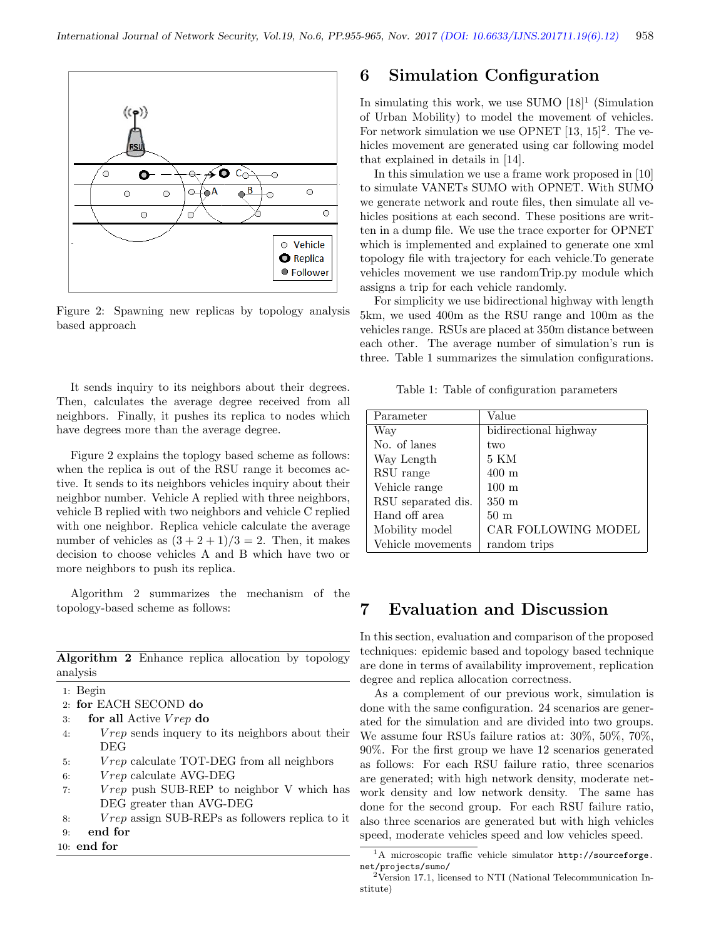

Figure 2: Spawning new replicas by topology analysis based approach

It sends inquiry to its neighbors about their degrees. Then, calculates the average degree received from all neighbors. Finally, it pushes its replica to nodes which have degrees more than the average degree.

Figure 2 explains the toplogy based scheme as follows: when the replica is out of the RSU range it becomes active. It sends to its neighbors vehicles inquiry about their neighbor number. Vehicle A replied with three neighbors, vehicle B replied with two neighbors and vehicle C replied with one neighbor. Replica vehicle calculate the average number of vehicles as  $(3 + 2 + 1)/3 = 2$ . Then, it makes decision to choose vehicles A and B which have two or more neighbors to push its replica.

Algorithm 2 summarizes the mechanism of the topology-based scheme as follows:

Algorithm 2 Enhance replica allocation by topology analysis

- 1: Begin
- 2: for EACH SECOND do
- 3: for all Active  $V rep$  do
- 4: V rep sends inquery to its neighbors about their DEG
- 5: V rep calculate TOT-DEG from all neighbors
- $6:$  V rep calculate AVG-DEG
- 7: V rep push SUB-REP to neighbor V which has DEG greater than AVG-DEG
- 8: V rep assign SUB-REPs as followers replica to it
- 9: end for
- 10: end for

## 6 Simulation Configuration

In simulating this work, we use SUMO  $[18]$ <sup>1</sup> (Simulation of Urban Mobility) to model the movement of vehicles. For network simulation we use OPNET  $[13, 15]^2$ . The vehicles movement are generated using car following model that explained in details in [14].

In this simulation we use a frame work proposed in [10] to simulate VANETs SUMO with OPNET. With SUMO we generate network and route files, then simulate all vehicles positions at each second. These positions are written in a dump file. We use the trace exporter for OPNET which is implemented and explained to generate one xml topology file with trajectory for each vehicle.To generate vehicles movement we use randomTrip.py module which assigns a trip for each vehicle randomly.

For simplicity we use bidirectional highway with length 5km, we used 400m as the RSU range and 100m as the vehicles range. RSUs are placed at 350m distance between each other. The average number of simulation's run is three. Table 1 summarizes the simulation configurations.

Table 1: Table of configuration parameters

| Parameter          | Value                      |
|--------------------|----------------------------|
| Way                | bidirectional highway      |
| No. of lanes       | two                        |
| Way Length         | 5 KM                       |
| RSU range          | $400 \text{ m}$            |
| Vehicle range      | $100 \text{ m}$            |
| RSU separated dis. | $350 \text{ m}$            |
| Hand off area      | 50 <sub>m</sub>            |
| Mobility model     | <b>CAR FOLLOWING MODEL</b> |
| Vehicle movements  | random trips               |

## 7 Evaluation and Discussion

In this section, evaluation and comparison of the proposed techniques: epidemic based and topology based technique are done in terms of availability improvement, replication degree and replica allocation correctness.

As a complement of our previous work, simulation is done with the same configuration. 24 scenarios are generated for the simulation and are divided into two groups. We assume four RSUs failure ratios at: 30%, 50%, 70%, 90%. For the first group we have 12 scenarios generated as follows: For each RSU failure ratio, three scenarios are generated; with high network density, moderate network density and low network density. The same has done for the second group. For each RSU failure ratio, also three scenarios are generated but with high vehicles speed, moderate vehicles speed and low vehicles speed.

<sup>1</sup>A microscopic traffic vehicle simulator http://sourceforge. net/projects/sumo/

<sup>2</sup>Version 17.1, licensed to NTI (National Telecommunication Institute)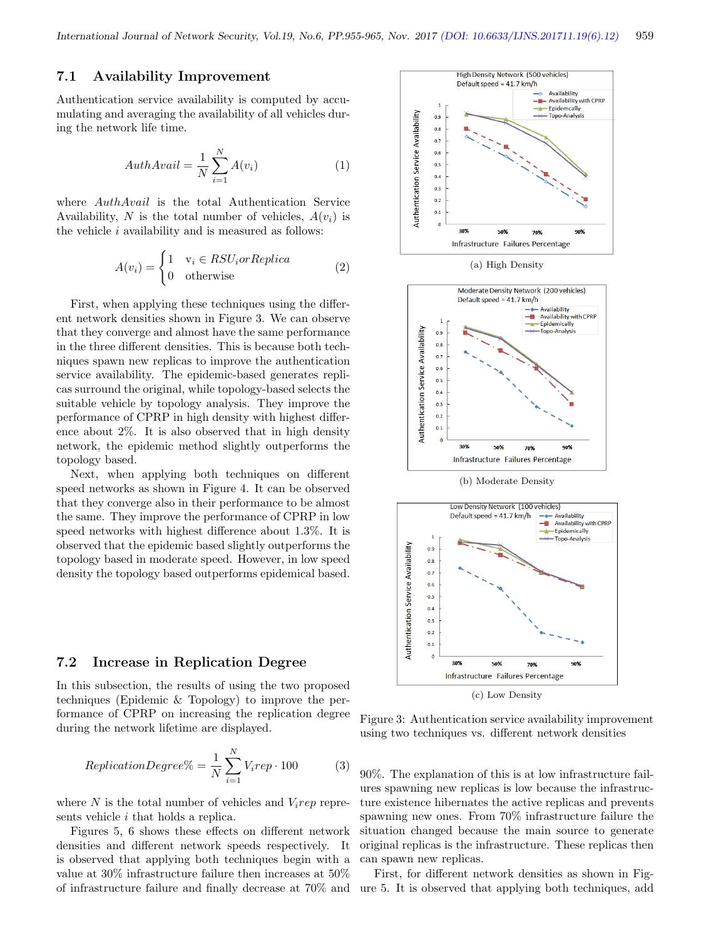#### 7.1 Availability Improvement

Authentication service availability is computed by accumulating and averaging the availability of all vehicles during the network life time.

$$
AuthAvail = \frac{1}{N} \sum_{i=1}^{N} A(v_i)
$$
 (1)

where AuthAvail is the total Authentication Service Availability, N is the total number of vehicles,  $A(v_i)$  is the vehicle i availability and is measured as follows:

$$
A(v_i) = \begin{cases} 1 & v_i \in RSU_i or Replica \\ 0 & \text{otherwise} \end{cases}
$$
 (2)

First, when applying these techniques using the different network densities shown in Figure 3. We can observe that they converge and almost have the same performance in the three different densities. This is because both techniques spawn new replicas to improve the authentication service availability. The epidemic-based generates replicas surround the original, while topology-based selects the suitable vehicle by topology analysis. They improve the performance of CPRP in high density with highest difference about 2%. It is also observed that in high density network, the epidemic method slightly outperforms the topology based.

Next, when applying both techniques on different speed networks as shown in Figure 4. It can be observed that they converge also in their performance to be almost the same. They improve the performance of CPRP in low speed networks with highest difference about 1.3%. It is observed that the epidemic based slightly outperforms the topology based in moderate speed. However, in low speed density the topology based outperforms epidemical based.

#### 7.2 Increase in Replication Degree

In this subsection, the results of using the two proposed techniques (Epidemic & Topology) to improve the performance of CPRP on increasing the replication degree during the network lifetime are displayed.

$$
ReplicationDegree\% = \frac{1}{N} \sum_{i=1}^{N} V_i rep \cdot 100 \tag{3}
$$

where N is the total number of vehicles and  $V_i$ rep represents vehicle *i* that holds a replica.

Figures 5, 6 shows these effects on different network densities and different network speeds respectively. It is observed that applying both techniques begin with a value at 30% infrastructure failure then increases at 50% of infrastructure failure and finally decrease at 70% and



(a) High Density



(b) Moderate Density



(c) Low Density

Figure 3: Authentication service availability improvement using two techniques vs. different network densities

90%. The explanation of this is at low infrastructure failures spawning new replicas is low because the infrastructure existence hibernates the active replicas and prevents spawning new ones. From 70% infrastructure failure the situation changed because the main source to generate original replicas is the infrastructure. These replicas then can spawn new replicas.

First, for different network densities as shown in Figure 5. It is observed that applying both techniques, add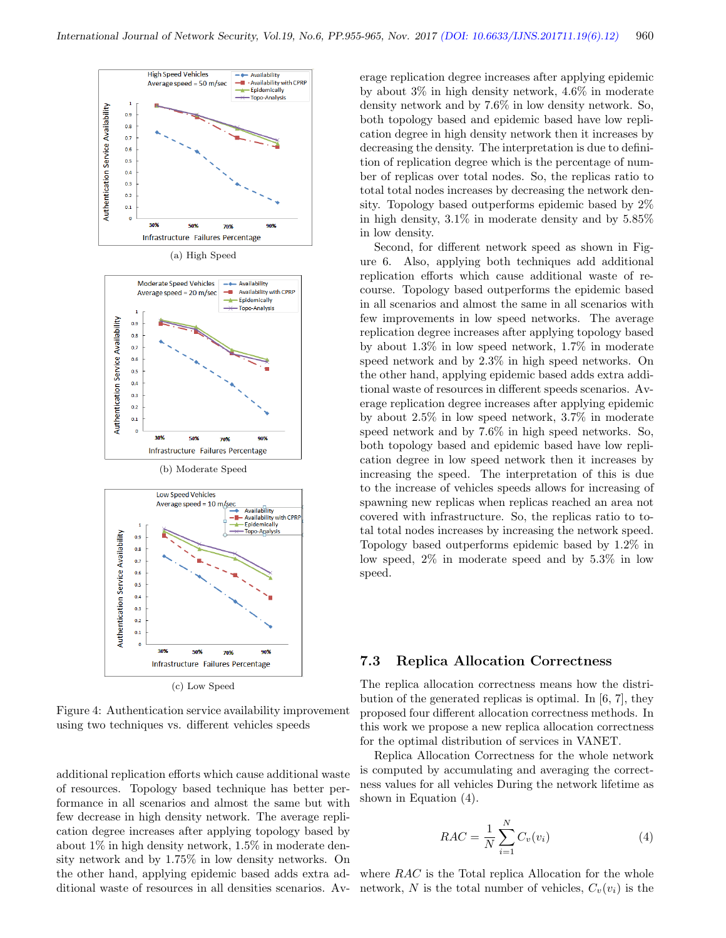





(c) Low Speed

Figure 4: Authentication service availability improvement using two techniques vs. different vehicles speeds

additional replication efforts which cause additional waste of resources. Topology based technique has better performance in all scenarios and almost the same but with few decrease in high density network. The average replication degree increases after applying topology based by about 1% in high density network, 1.5% in moderate density network and by 1.75% in low density networks. On the other hand, applying epidemic based adds extra additional waste of resources in all densities scenarios. Average replication degree increases after applying epidemic by about 3% in high density network, 4.6% in moderate density network and by 7.6% in low density network. So, both topology based and epidemic based have low replication degree in high density network then it increases by decreasing the density. The interpretation is due to definition of replication degree which is the percentage of number of replicas over total nodes. So, the replicas ratio to total total nodes increases by decreasing the network density. Topology based outperforms epidemic based by 2% in high density, 3.1% in moderate density and by 5.85% in low density.

Second, for different network speed as shown in Figure 6. Also, applying both techniques add additional replication efforts which cause additional waste of recourse. Topology based outperforms the epidemic based in all scenarios and almost the same in all scenarios with few improvements in low speed networks. The average replication degree increases after applying topology based by about 1.3% in low speed network, 1.7% in moderate speed network and by 2.3% in high speed networks. On the other hand, applying epidemic based adds extra additional waste of resources in different speeds scenarios. Average replication degree increases after applying epidemic by about 2.5% in low speed network, 3.7% in moderate speed network and by 7.6% in high speed networks. So, both topology based and epidemic based have low replication degree in low speed network then it increases by increasing the speed. The interpretation of this is due to the increase of vehicles speeds allows for increasing of spawning new replicas when replicas reached an area not covered with infrastructure. So, the replicas ratio to total total nodes increases by increasing the network speed. Topology based outperforms epidemic based by 1.2% in low speed, 2% in moderate speed and by 5.3% in low speed.

#### 7.3 Replica Allocation Correctness

The replica allocation correctness means how the distribution of the generated replicas is optimal. In [6, 7], they proposed four different allocation correctness methods. In this work we propose a new replica allocation correctness for the optimal distribution of services in VANET.

Replica Allocation Correctness for the whole network is computed by accumulating and averaging the correctness values for all vehicles During the network lifetime as shown in Equation (4).

$$
RAC = \frac{1}{N} \sum_{i=1}^{N} C_v(v_i)
$$
 (4)

where RAC is the Total replica Allocation for the whole network, N is the total number of vehicles,  $C_v(v_i)$  is the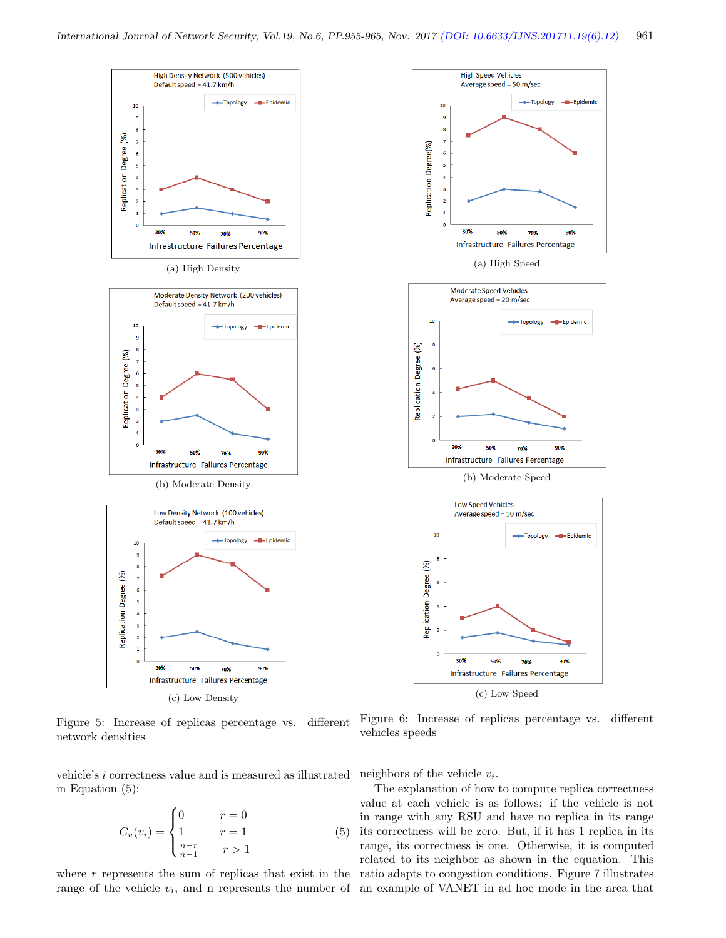

(c) Low Density

Figure 5: Increase of replicas percentage vs. different network densities

vehicle's i correctness value and is measured as illustrated in Equation (5):

$$
C_v(v_i) = \begin{cases} 0 & r = 0\\ 1 & r = 1\\ \frac{n-r}{n-1} & r > 1 \end{cases}
$$
 (5)

range of the vehicle  $v_i$ , and n represents the number of an example of VANET in ad hoc mode in the area that

Figure 6: Increase of replicas percentage vs. different vehicles speeds

neighbors of the vehicle  $v_i$ .

where r represents the sum of replicas that exist in the ratio adapts to congestion conditions. Figure 7 illustrates The explanation of how to compute replica correctness value at each vehicle is as follows: if the vehicle is not in range with any RSU and have no replica in its range its correctness will be zero. But, if it has 1 replica in its range, its correctness is one. Otherwise, it is computed related to its neighbor as shown in the equation. This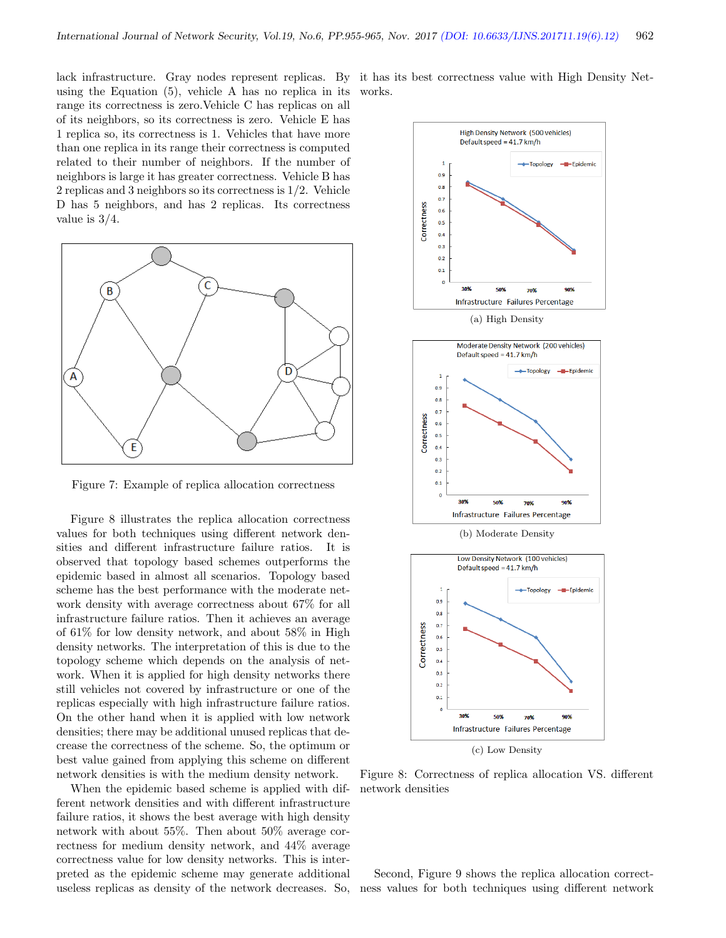using the Equation (5), vehicle A has no replica in its range its correctness is zero.Vehicle C has replicas on all of its neighbors, so its correctness is zero. Vehicle E has 1 replica so, its correctness is 1. Vehicles that have more than one replica in its range their correctness is computed related to their number of neighbors. If the number of neighbors is large it has greater correctness. Vehicle B has 2 replicas and 3 neighbors so its correctness is 1/2. Vehicle D has 5 neighbors, and has 2 replicas. Its correctness value is 3/4.



Figure 7: Example of replica allocation correctness

Figure 8 illustrates the replica allocation correctness values for both techniques using different network densities and different infrastructure failure ratios. It is observed that topology based schemes outperforms the epidemic based in almost all scenarios. Topology based scheme has the best performance with the moderate network density with average correctness about 67% for all infrastructure failure ratios. Then it achieves an average of 61% for low density network, and about 58% in High density networks. The interpretation of this is due to the topology scheme which depends on the analysis of network. When it is applied for high density networks there still vehicles not covered by infrastructure or one of the replicas especially with high infrastructure failure ratios. On the other hand when it is applied with low network densities; there may be additional unused replicas that decrease the correctness of the scheme. So, the optimum or best value gained from applying this scheme on different network densities is with the medium density network.

When the epidemic based scheme is applied with different network densities and with different infrastructure failure ratios, it shows the best average with high density network with about 55%. Then about 50% average correctness for medium density network, and 44% average correctness value for low density networks. This is interpreted as the epidemic scheme may generate additional useless replicas as density of the network decreases. So, ness values for both techniques using different network

lack infrastructure. Gray nodes represent replicas. By it has its best correctness value with High Density Networks.



Figure 8: Correctness of replica allocation VS. different network densities

Second, Figure 9 shows the replica allocation correct-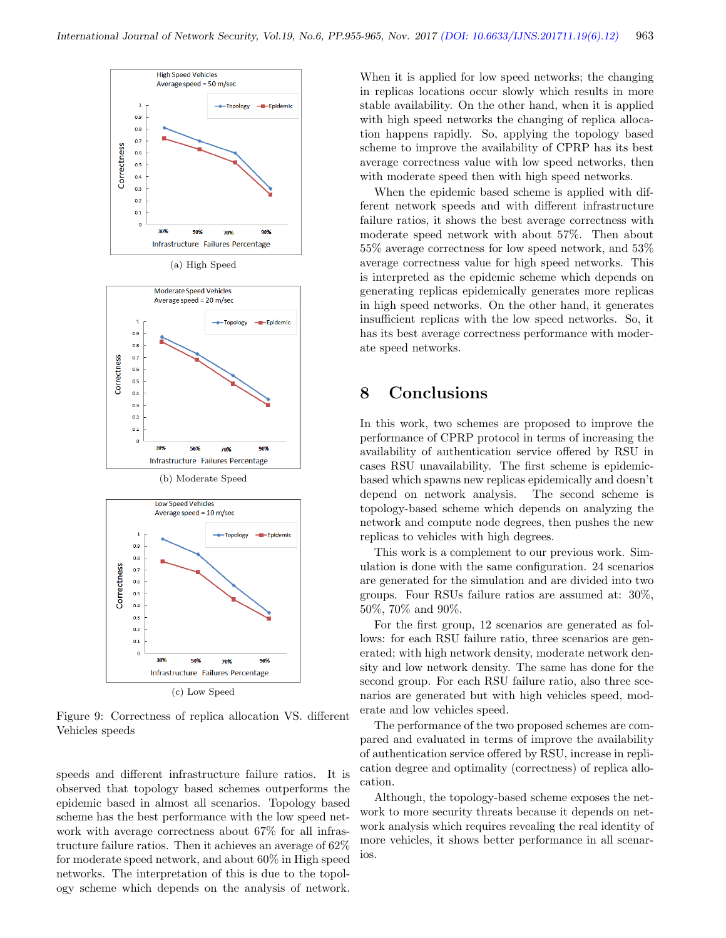



Figure 9: Correctness of replica allocation VS. different Vehicles speeds

speeds and different infrastructure failure ratios. It is observed that topology based schemes outperforms the epidemic based in almost all scenarios. Topology based scheme has the best performance with the low speed network with average correctness about 67% for all infrastructure failure ratios. Then it achieves an average of 62% for moderate speed network, and about 60% in High speed networks. The interpretation of this is due to the topology scheme which depends on the analysis of network.

When it is applied for low speed networks; the changing in replicas locations occur slowly which results in more stable availability. On the other hand, when it is applied with high speed networks the changing of replica allocation happens rapidly. So, applying the topology based scheme to improve the availability of CPRP has its best average correctness value with low speed networks, then with moderate speed then with high speed networks.

When the epidemic based scheme is applied with different network speeds and with different infrastructure failure ratios, it shows the best average correctness with moderate speed network with about 57%. Then about 55% average correctness for low speed network, and 53% average correctness value for high speed networks. This is interpreted as the epidemic scheme which depends on generating replicas epidemically generates more replicas in high speed networks. On the other hand, it generates insufficient replicas with the low speed networks. So, it has its best average correctness performance with moderate speed networks.

# 8 Conclusions

In this work, two schemes are proposed to improve the performance of CPRP protocol in terms of increasing the availability of authentication service offered by RSU in cases RSU unavailability. The first scheme is epidemicbased which spawns new replicas epidemically and doesn't depend on network analysis. The second scheme is topology-based scheme which depends on analyzing the network and compute node degrees, then pushes the new replicas to vehicles with high degrees.

This work is a complement to our previous work. Simulation is done with the same configuration. 24 scenarios are generated for the simulation and are divided into two groups. Four RSUs failure ratios are assumed at: 30%, 50%, 70% and 90%.

For the first group, 12 scenarios are generated as follows: for each RSU failure ratio, three scenarios are generated; with high network density, moderate network density and low network density. The same has done for the second group. For each RSU failure ratio, also three scenarios are generated but with high vehicles speed, moderate and low vehicles speed.

The performance of the two proposed schemes are compared and evaluated in terms of improve the availability of authentication service offered by RSU, increase in replication degree and optimality (correctness) of replica allocation.

Although, the topology-based scheme exposes the network to more security threats because it depends on network analysis which requires revealing the real identity of more vehicles, it shows better performance in all scenarios.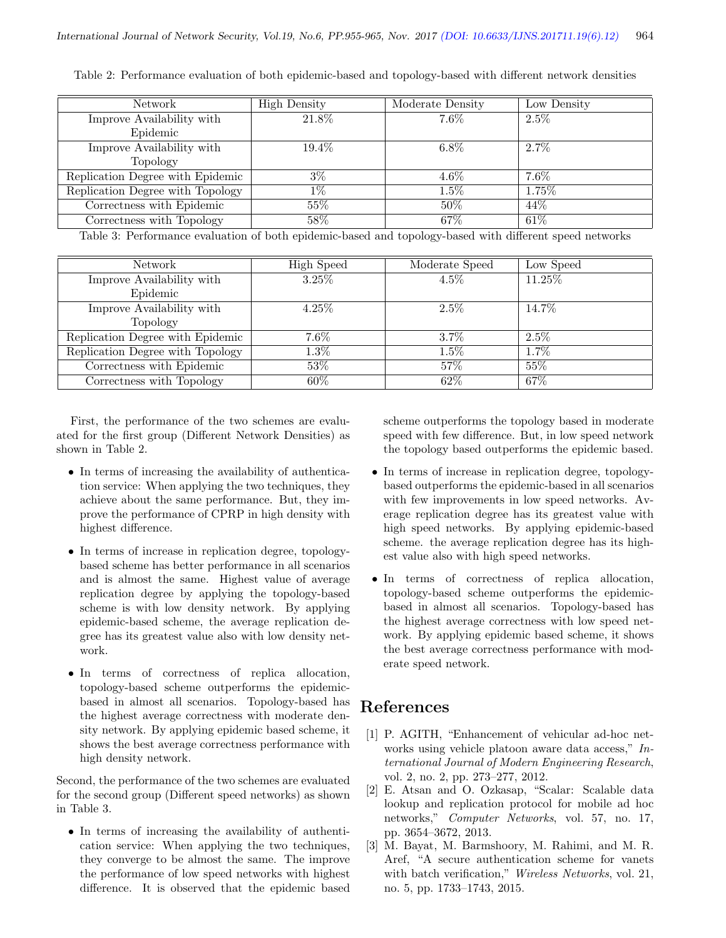| Network                          | <b>High Density</b> | Moderate Density | Low Density |
|----------------------------------|---------------------|------------------|-------------|
| Improve Availability with        | 21.8%               | $7.6\%$          | $2.5\%$     |
| Epidemic                         |                     |                  |             |
| Improve Availability with        | $19.4\%$            | $6.8\%$          | $2.7\%$     |
| Topology                         |                     |                  |             |
| Replication Degree with Epidemic | $3\%$               | $4.6\%$          | $7.6\%$     |
| Replication Degree with Topology | $1\%$               | $1.5\%$          | 1.75%       |
| Correctness with Epidemic        | $55\%$              | $50\%$           | 44\%        |
| Correctness with Topology        | 58\%                | $67\%$           | $61\%$      |

Table 2: Performance evaluation of both epidemic-based and topology-based with different network densities

Table 3: Performance evaluation of both epidemic-based and topology-based with different speed networks

| Network                          | <b>High Speed</b> | Moderate Speed | Low Speed |
|----------------------------------|-------------------|----------------|-----------|
| Improve Availability with        | $3.25\%$          | $4.5\%$        | 11.25%    |
| Epidemic                         |                   |                |           |
| Improve Availability with        | $4.25\%$          | $2.5\%$        | 14.7\%    |
| Topology                         |                   |                |           |
| Replication Degree with Epidemic | $7.6\%$           | $3.7\%$        | $2.5\%$   |
| Replication Degree with Topology | $1.3\%$           | $1.5\%$        | 1.7%      |
| Correctness with Epidemic        | 53%               | 57\%           | 55%       |
| Correctness with Topology        | 60%               | 62%            | 67%       |

First, the performance of the two schemes are evaluated for the first group (Different Network Densities) as shown in Table 2.

- In terms of increasing the availability of authentication service: When applying the two techniques, they achieve about the same performance. But, they improve the performance of CPRP in high density with highest difference.
- In terms of increase in replication degree, topologybased scheme has better performance in all scenarios and is almost the same. Highest value of average replication degree by applying the topology-based scheme is with low density network. By applying epidemic-based scheme, the average replication degree has its greatest value also with low density network.
- In terms of correctness of replica allocation, topology-based scheme outperforms the epidemicbased in almost all scenarios. Topology-based has the highest average correctness with moderate density network. By applying epidemic based scheme, it shows the best average correctness performance with high density network.

Second, the performance of the two schemes are evaluated for the second group (Different speed networks) as shown in Table 3.

• In terms of increasing the availability of authentication service: When applying the two techniques, they converge to be almost the same. The improve the performance of low speed networks with highest difference. It is observed that the epidemic based

scheme outperforms the topology based in moderate speed with few difference. But, in low speed network the topology based outperforms the epidemic based.

- In terms of increase in replication degree, topologybased outperforms the epidemic-based in all scenarios with few improvements in low speed networks. Average replication degree has its greatest value with high speed networks. By applying epidemic-based scheme. the average replication degree has its highest value also with high speed networks.
- In terms of correctness of replica allocation, topology-based scheme outperforms the epidemicbased in almost all scenarios. Topology-based has the highest average correctness with low speed network. By applying epidemic based scheme, it shows the best average correctness performance with moderate speed network.

# References

- [1] P. AGITH, "Enhancement of vehicular ad-hoc networks using vehicle platoon aware data access," International Journal of Modern Engineering Research, vol. 2, no. 2, pp. 273–277, 2012.
- [2] E. Atsan and O. Ozkasap, "Scalar: Scalable data lookup and replication protocol for mobile ad hoc networks," Computer Networks, vol. 57, no. 17, pp. 3654–3672, 2013.
- [3] M. Bayat, M. Barmshoory, M. Rahimi, and M. R. Aref, "A secure authentication scheme for vanets with batch verification," Wireless Networks, vol. 21, no. 5, pp. 1733–1743, 2015.